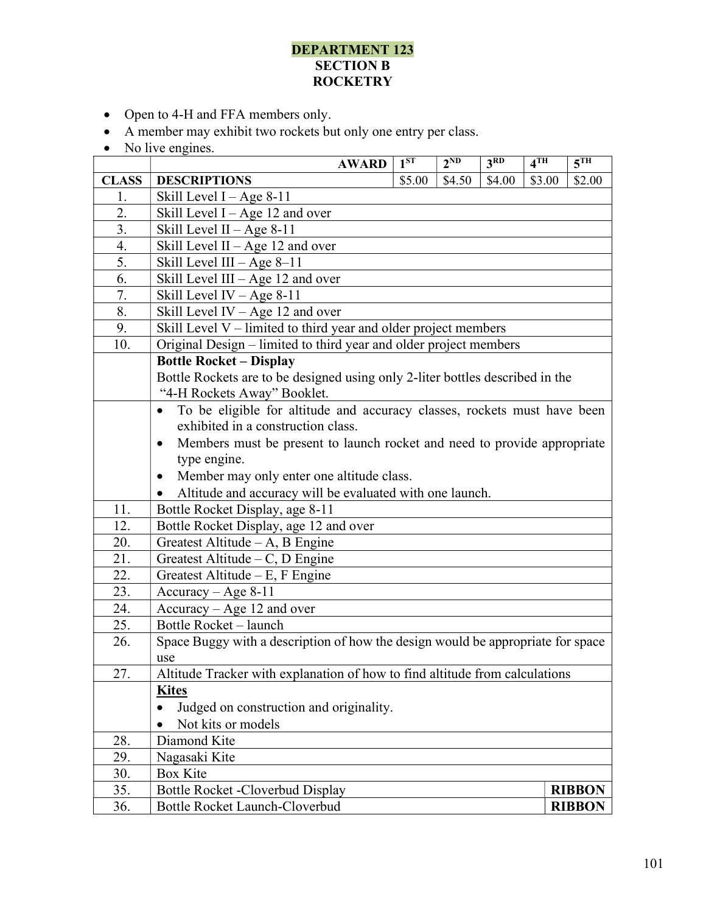## DEPARTMENT 123 SECTION B **ROCKETRY**

- Open to 4-H and FFA members only.
- A member may exhibit two rockets but only one entry per class.
- No live engines.

|              | <b>AWARD</b>                                                                          | $1^{ST}$ | $2^{ND}$ | 3 <sup>RD</sup> | 4 <sup>TH</sup> | 5 <sup>TH</sup> |  |  |
|--------------|---------------------------------------------------------------------------------------|----------|----------|-----------------|-----------------|-----------------|--|--|
| <b>CLASS</b> | <b>DESCRIPTIONS</b>                                                                   | \$5.00   | \$4.50   | \$4.00          | \$3.00          | \$2.00          |  |  |
| 1.           | Skill Level $I - Age 8-11$                                                            |          |          |                 |                 |                 |  |  |
| 2.           | Skill Level I - Age 12 and over                                                       |          |          |                 |                 |                 |  |  |
| 3.           | Skill Level II - Age $8-11$                                                           |          |          |                 |                 |                 |  |  |
| 4.           | Skill Level II - Age 12 and over                                                      |          |          |                 |                 |                 |  |  |
| 5.           | Skill Level III $-$ Age 8–11                                                          |          |          |                 |                 |                 |  |  |
| 6.           | Skill Level III - Age 12 and over                                                     |          |          |                 |                 |                 |  |  |
| 7.           | Skill Level IV $-$ Age 8-11                                                           |          |          |                 |                 |                 |  |  |
| 8.           | Skill Level IV - Age 12 and over                                                      |          |          |                 |                 |                 |  |  |
| 9.           | Skill Level V - limited to third year and older project members                       |          |          |                 |                 |                 |  |  |
| 10.          | Original Design - limited to third year and older project members                     |          |          |                 |                 |                 |  |  |
|              | <b>Bottle Rocket - Display</b>                                                        |          |          |                 |                 |                 |  |  |
|              | Bottle Rockets are to be designed using only 2-liter bottles described in the         |          |          |                 |                 |                 |  |  |
|              | "4-H Rockets Away" Booklet.                                                           |          |          |                 |                 |                 |  |  |
|              | To be eligible for altitude and accuracy classes, rockets must have been<br>$\bullet$ |          |          |                 |                 |                 |  |  |
|              | exhibited in a construction class.                                                    |          |          |                 |                 |                 |  |  |
|              | Members must be present to launch rocket and need to provide appropriate<br>$\bullet$ |          |          |                 |                 |                 |  |  |
|              | type engine.                                                                          |          |          |                 |                 |                 |  |  |
|              | Member may only enter one altitude class.<br>$\bullet$                                |          |          |                 |                 |                 |  |  |
|              | Altitude and accuracy will be evaluated with one launch.                              |          |          |                 |                 |                 |  |  |
| 11.          | Bottle Rocket Display, age 8-11                                                       |          |          |                 |                 |                 |  |  |
| 12.          | Bottle Rocket Display, age 12 and over                                                |          |          |                 |                 |                 |  |  |
| 20.          | Greatest Altitude - A, B Engine                                                       |          |          |                 |                 |                 |  |  |
| 21.          | Greatest Altitude $-C$ , D Engine                                                     |          |          |                 |                 |                 |  |  |
| 22.          | Greatest Altitude – E, F Engine                                                       |          |          |                 |                 |                 |  |  |
| 23.          | $Accuracy - Age 8-11$                                                                 |          |          |                 |                 |                 |  |  |
| 24.          | Accuracy - Age 12 and over                                                            |          |          |                 |                 |                 |  |  |
| 25.          | Bottle Rocket - launch                                                                |          |          |                 |                 |                 |  |  |
| 26.          | Space Buggy with a description of how the design would be appropriate for space       |          |          |                 |                 |                 |  |  |
|              | use                                                                                   |          |          |                 |                 |                 |  |  |
| 27.          | Altitude Tracker with explanation of how to find altitude from calculations           |          |          |                 |                 |                 |  |  |
|              | <b>Kites</b>                                                                          |          |          |                 |                 |                 |  |  |
|              | Judged on construction and originality.                                               |          |          |                 |                 |                 |  |  |
|              | Not kits or models                                                                    |          |          |                 |                 |                 |  |  |
| 28.          | Diamond Kite                                                                          |          |          |                 |                 |                 |  |  |
| 29.          | Nagasaki Kite                                                                         |          |          |                 |                 |                 |  |  |
| 30.          | <b>Box Kite</b>                                                                       |          |          |                 |                 |                 |  |  |
| 35.          | Bottle Rocket -Cloverbud Display                                                      |          |          |                 |                 | <b>RIBBON</b>   |  |  |
| 36.          | Bottle Rocket Launch-Cloverbud                                                        |          |          |                 |                 | <b>RIBBON</b>   |  |  |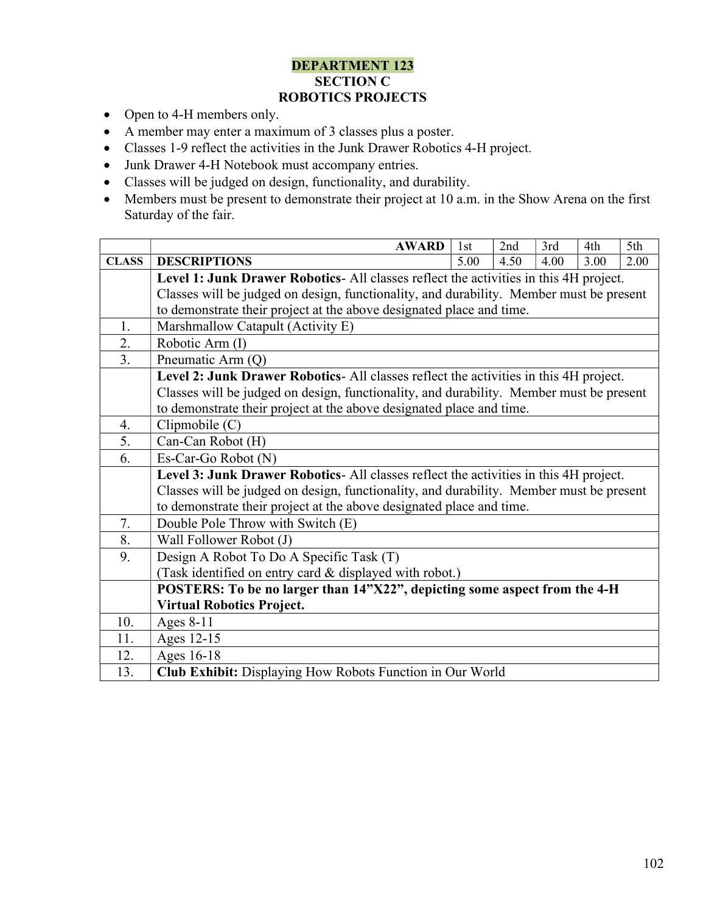## DEPARTMENT 123 SECTION C ROBOTICS PROJECTS

- Open to 4-H members only.
- A member may enter a maximum of 3 classes plus a poster.
- Classes 1-9 reflect the activities in the Junk Drawer Robotics 4-H project.
- Junk Drawer 4-H Notebook must accompany entries.
- Classes will be judged on design, functionality, and durability.
- Members must be present to demonstrate their project at 10 a.m. in the Show Arena on the first Saturday of the fair.

|              | <b>AWARD</b>                                                                            | 1st  | 2nd  | 3rd  | 4th  | 5th  |  |  |
|--------------|-----------------------------------------------------------------------------------------|------|------|------|------|------|--|--|
| <b>CLASS</b> | <b>DESCRIPTIONS</b>                                                                     | 5.00 | 4.50 | 4.00 | 3.00 | 2.00 |  |  |
|              | Level 1: Junk Drawer Robotics- All classes reflect the activities in this 4H project.   |      |      |      |      |      |  |  |
|              | Classes will be judged on design, functionality, and durability. Member must be present |      |      |      |      |      |  |  |
|              | to demonstrate their project at the above designated place and time.                    |      |      |      |      |      |  |  |
| 1.           | Marshmallow Catapult (Activity E)                                                       |      |      |      |      |      |  |  |
| 2.           | Robotic Arm (I)                                                                         |      |      |      |      |      |  |  |
| 3.           | Pneumatic Arm (Q)                                                                       |      |      |      |      |      |  |  |
|              | Level 2: Junk Drawer Robotics- All classes reflect the activities in this 4H project.   |      |      |      |      |      |  |  |
|              | Classes will be judged on design, functionality, and durability. Member must be present |      |      |      |      |      |  |  |
|              | to demonstrate their project at the above designated place and time.                    |      |      |      |      |      |  |  |
| 4.           | Clipmobile (C)                                                                          |      |      |      |      |      |  |  |
| 5.           | Can-Can Robot (H)                                                                       |      |      |      |      |      |  |  |
| 6.           | Es-Car-Go Robot (N)                                                                     |      |      |      |      |      |  |  |
|              | Level 3: Junk Drawer Robotics- All classes reflect the activities in this 4H project.   |      |      |      |      |      |  |  |
|              | Classes will be judged on design, functionality, and durability. Member must be present |      |      |      |      |      |  |  |
|              | to demonstrate their project at the above designated place and time.                    |      |      |      |      |      |  |  |
| 7.           | Double Pole Throw with Switch (E)                                                       |      |      |      |      |      |  |  |
| 8.           | Wall Follower Robot (J)                                                                 |      |      |      |      |      |  |  |
| 9.           | Design A Robot To Do A Specific Task (T)                                                |      |      |      |      |      |  |  |
|              | (Task identified on entry card & displayed with robot.)                                 |      |      |      |      |      |  |  |
|              | POSTERS: To be no larger than 14"X22", depicting some aspect from the 4-H               |      |      |      |      |      |  |  |
|              | <b>Virtual Robotics Project.</b>                                                        |      |      |      |      |      |  |  |
| 10.          | Ages 8-11                                                                               |      |      |      |      |      |  |  |
| 11.          | Ages 12-15                                                                              |      |      |      |      |      |  |  |
| 12.          | Ages 16-18                                                                              |      |      |      |      |      |  |  |
| 13.          | Club Exhibit: Displaying How Robots Function in Our World                               |      |      |      |      |      |  |  |